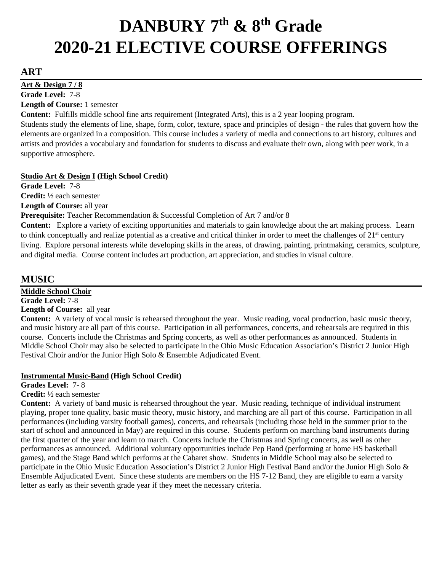# **DANBURY 7th & 8th Grade 2020-21 ELECTIVE COURSE OFFERINGS**

## **ART**

**Art & Design 7 / 8** 

**Grade Level:** 7-8 **Length of Course:** 1 semester

**Content:** Fulfills middle school fine arts requirement (Integrated Arts), this is a 2 year looping program.

Students study the elements of line, shape, form, color, texture, space and principles of design - the rules that govern how the elements are organized in a composition. This course includes a variety of media and connections to art history, cultures and artists and provides a vocabulary and foundation for students to discuss and evaluate their own, along with peer work, in a supportive atmosphere.

## **Studio Art & Design I (High School Credit)**

**Grade Level:** 7-8 **Credit:** ½ each semester **Length of Course:** all year

## **Prerequisite:** Teacher Recommendation & Successful Completion of Art 7 and/or 8

**Content:** Explore a variety of exciting opportunities and materials to gain knowledge about the art making process. Learn to think conceptually and realize potential as a creative and critical thinker in order to meet the challenges of  $21<sup>st</sup>$  century living. Explore personal interests while developing skills in the areas, of drawing, painting, printmaking, ceramics, sculpture, and digital media. Course content includes art production, art appreciation, and studies in visual culture.

## **MUSIC**

**Middle School Choir**

**Grade Level:** 7-8

**Length of Course:** all year

**Content:** A variety of vocal music is rehearsed throughout the year. Music reading, vocal production, basic music theory, and music history are all part of this course. Participation in all performances, concerts, and rehearsals are required in this course. Concerts include the Christmas and Spring concerts, as well as other performances as announced. Students in Middle School Choir may also be selected to participate in the Ohio Music Education Association's District 2 Junior High Festival Choir and/or the Junior High Solo & Ensemble Adjudicated Event.

## **Instrumental Music-Band (High School Credit)**

**Grades Level:** 7- 8

## **Credit:** ½ each semester

**Content:** A variety of band music is rehearsed throughout the year. Music reading, technique of individual instrument playing, proper tone quality, basic music theory, music history, and marching are all part of this course. Participation in all performances (including varsity football games), concerts, and rehearsals (including those held in the summer prior to the start of school and announced in May) are required in this course. Students perform on marching band instruments during the first quarter of the year and learn to march. Concerts include the Christmas and Spring concerts, as well as other performances as announced. Additional voluntary opportunities include Pep Band (performing at home HS basketball games), and the Stage Band which performs at the Cabaret show. Students in Middle School may also be selected to participate in the Ohio Music Education Association's District 2 Junior High Festival Band and/or the Junior High Solo & Ensemble Adjudicated Event. Since these students are members on the HS 7-12 Band, they are eligible to earn a varsity letter as early as their seventh grade year if they meet the necessary criteria.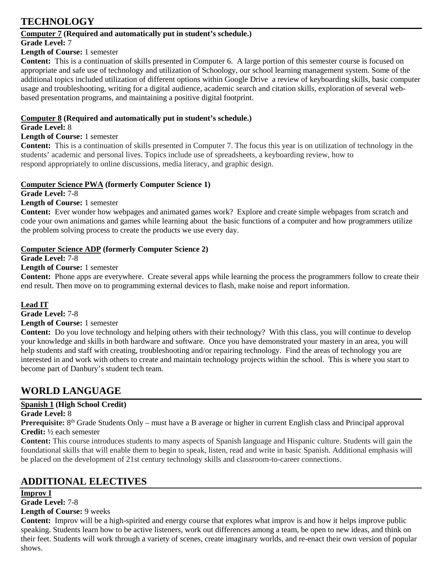## **TECHNOLOGY**

## **Computer 7 (Required and automatically put in student's schedule.)**

## **Grade Level:** 7

## **Length of Course:** 1 semester

**Content:** This is a continuation of skills presented in Computer 6. A large portion of this semester course is focused on appropriate and safe use of technology and utilization of Schoology, our school learning management system. Some of the additional topics included utilization of different options within Google Drive a review of keyboarding skills, basic computer usage and troubleshooting, writing for a digital audience, academic search and citation skills, exploration of several webbased presentation programs, and maintaining a positive digital footprint.

## **Computer 8 (Required and automatically put in student's schedule.)**

## **Grade Level:** 8

## **Length of Course:** 1 semester

**Content:** This is a continuation of skills presented in Computer 7. The focus this year is on utilization of technology in the students' academic and personal lives. Topics include use of spreadsheets, a keyboarding review, how to respond appropriately to online discussions, media literacy, and graphic design.

## **Computer Science PWA (formerly Computer Science 1)**

**Grade Level:** 7-8

**Length of Course:** 1 semester

**Content:** Ever wonder how webpages and animated games work? Explore and create simple webpages from scratch and code your own animations and games while learning about the basic functions of a computer and how programmers utilize the problem solving process to create the products we use every day.

## **Computer Science ADP (formerly Computer Science 2)**

**Grade Level:** 7-8

**Length of Course:** 1 semester

**Content:** Phone apps are everywhere. Create several apps while learning the process the programmers follow to create their end result. Then move on to programming external devices to flash, make noise and report information.

## **Lead IT**

**Grade Level:** 7-8

## **Length of Course:** 1 semester

**Content:** Do you love technology and helping others with their technology? With this class, you will continue to develop your knowledge and skills in both hardware and software. Once you have demonstrated your mastery in an area, you will help students and staff with creating, troubleshooting and/or repairing technology. Find the areas of technology you are interested in and work with others to create and maintain technology projects within the school. This is where you start to become part of Danbury's student tech team.

# **WORLD LANGUAGE**

## **Spanish 1 (High School Credit)**

## **Grade Level:** 8

**Prerequisite:** 8<sup>th</sup> Grade Students Only – must have a B average or higher in current English class and Principal approval **Credit:** ½ each semester

**Content:** This course introduces students to many aspects of Spanish language and Hispanic culture. Students will gain the foundational skills that will enable them to begin to speak, listen, read and write in basic Spanish. Additional emphasis will be placed on the development of 21st century technology skills and classroom-to-career connections.

# **ADDITIONAL ELECTIVES**

## **Improv I**

**Grade Level:** 7-8

**Length of Course:** 9 weeks

**Content:** Improv will be a high-spirited and energy course that explores what improv is and how it helps improve public speaking. Students learn how to be active listeners, work out differences among a team, be open to new ideas, and think on their feet. Students will work through a variety of scenes, create imaginary worlds, and re-enact their own version of popular shows.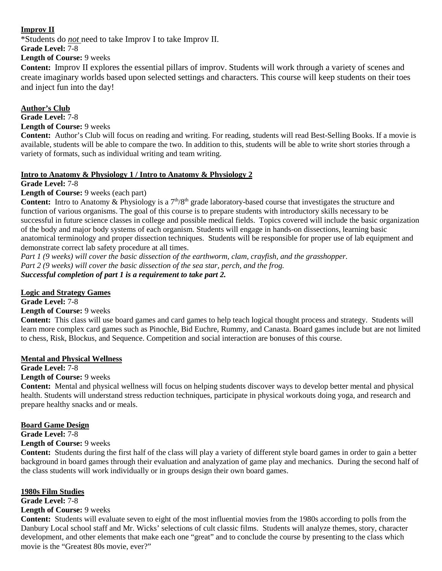## **Improv II**

\*Students do *not* need to take Improv I to take Improv II.

**Grade Level:** 7-8

**Length of Course:** 9 weeks

**Content:** Improv II explores the essential pillars of improv. Students will work through a variety of scenes and create imaginary worlds based upon selected settings and characters. This course will keep students on their toes and inject fun into the day!

**Author's Club Grade Level:** 7-8 **Length of Course:** 9 weeks

**Content:** Author's Club will focus on reading and writing. For reading, students will read Best-Selling Books. If a movie is available, students will be able to compare the two. In addition to this, students will be able to write short stories through a variety of formats, such as individual writing and team writing.

## **Intro to Anatomy & Physiology 1 / Intro to Anatomy & Physiology 2**

**Grade Level:** 7-8

**Length of Course:** 9 weeks (each part)

Content: Intro to Anatomy & Physiology is a 7<sup>th</sup>/8<sup>th</sup> grade laboratory-based course that investigates the structure and function of various organisms. The goal of this course is to prepare students with introductory skills necessary to be successful in future science classes in college and possible medical fields. Topics covered will include the basic organization of the body and major body systems of each organism. Students will engage in hands-on dissections, learning basic anatomical terminology and proper dissection techniques. Students will be responsible for proper use of lab equipment and demonstrate correct lab safety procedure at all times.

*Part 1 (9 weeks) will cover the basic dissection of the earthworm, clam, crayfish, and the grasshopper. Part 2 (9 weeks) will cover the basic dissection of the sea star, perch, and the frog. Successful completion of part 1 is a requirement to take part 2.* 

## **Logic and Strategy Games**

**Grade Level:** 7-8

**Length of Course:** 9 weeks

**Content:** This class will use board games and card games to help teach logical thought process and strategy. Students will learn more complex card games such as Pinochle, Bid Euchre, Rummy, and Canasta. Board games include but are not limited to chess, Risk, Blockus, and Sequence. Competition and social interaction are bonuses of this course.

## **Mental and Physical Wellness**

**Grade Level:** 7-8

## **Length of Course:** 9 weeks

**Content:** Mental and physical wellness will focus on helping students discover ways to develop better mental and physical health. Students will understand stress reduction techniques, participate in physical workouts doing yoga, and research and prepare healthy snacks and or meals.

## **Board Game Design**

**Grade Level:** 7-8

## **Length of Course:** 9 weeks

**Content:** Students during the first half of the class will play a variety of different style board games in order to gain a better background in board games through their evaluation and analyzation of game play and mechanics. During the second half of the class students will work individually or in groups design their own board games.

## **1980s Film Studies**

## **Grade Level:** 7-8

## **Length of Course:** 9 weeks

**Content:** Students will evaluate seven to eight of the most influential movies from the 1980s according to polls from the Danbury Local school staff and Mr. Wicks' selections of cult classic films. Students will analyze themes, story, character development, and other elements that make each one "great" and to conclude the course by presenting to the class which movie is the "Greatest 80s movie, ever?"